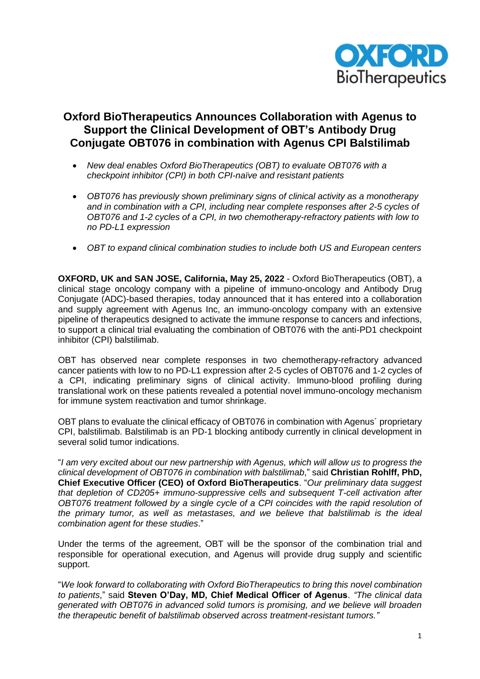

# **Oxford BioTherapeutics Announces Collaboration with Agenus to Support the Clinical Development of OBT's Antibody Drug Conjugate OBT076 in combination with Agenus CPI Balstilimab**

- *New deal enables Oxford BioTherapeutics (OBT) to evaluate OBT076 with a checkpoint inhibitor (CPI) in both CPI-naïve and resistant patients*
- *OBT076 has previously shown preliminary signs of clinical activity as a monotherapy and in combination with a CPI, including near complete responses after 2-5 cycles of OBT076 and 1-2 cycles of a CPI, in two chemotherapy-refractory patients with low to no PD-L1 expression*
- *OBT to expand clinical combination studies to include both US and European centers*

**OXFORD, UK and SAN JOSE, California, May 25, 2022** - Oxford BioTherapeutics (OBT), a clinical stage oncology company with a pipeline of immuno-oncology and Antibody Drug Conjugate (ADC)-based therapies, today announced that it has entered into a collaboration and supply agreement with Agenus Inc, an immuno-oncology company with an extensive pipeline of therapeutics designed to activate the immune response to cancers and infections, to support a clinical trial evaluating the combination of OBT076 with the anti-PD1 checkpoint inhibitor (CPI) balstilimab.

OBT has observed near complete responses in two chemotherapy-refractory advanced cancer patients with low to no PD-L1 expression after 2-5 cycles of OBT076 and 1-2 cycles of a CPI, indicating preliminary signs of clinical activity. Immuno-blood profiling during translational work on these patients revealed a potential novel immuno-oncology mechanism for immune system reactivation and tumor shrinkage.

OBT plans to evaluate the clinical efficacy of OBT076 in combination with Agenus´ proprietary CPI, balstilimab. Balstilimab is an PD-1 blocking antibody currently in clinical development in several solid tumor indications.

"*I am very excited about our new partnership with Agenus, which will allow us to progress the clinical development of OBT076 in combination with balstilimab*," said **Christian Rohlff, PhD, Chief Executive Officer (CEO) of Oxford BioTherapeutics**. "*Our preliminary data suggest that depletion of CD205+ immuno-suppressive cells and subsequent T-cell activation after OBT076 treatment followed by a single cycle of a CPI coincides with the rapid resolution of the primary tumor, as well as metastases, and we believe that balstilimab is the ideal combination agent for these studies*."

Under the terms of the agreement, OBT will be the sponsor of the combination trial and responsible for operational execution, and Agenus will provide drug supply and scientific support.

"*We look forward to collaborating with Oxford BioTherapeutics to bring this novel combination to patients*," said **Steven O'Day, MD, Chief Medical Officer of Agenus**. *"The clinical data generated with OBT076 in advanced solid tumors is promising, and we believe will broaden the therapeutic benefit of balstilimab observed across treatment-resistant tumors."*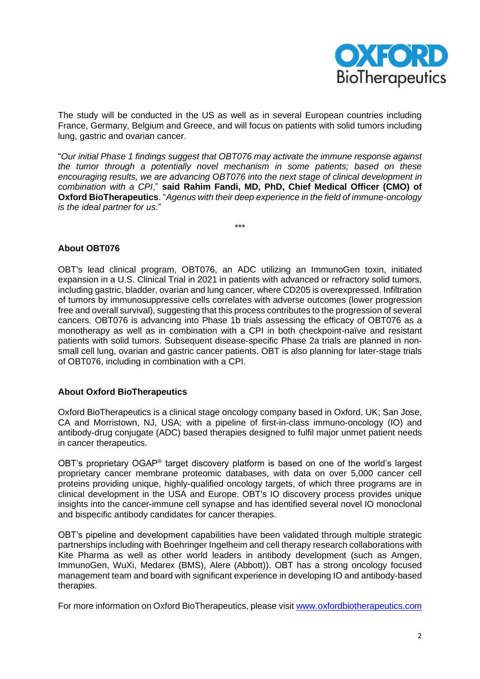

The study will be conducted in the US as well as in several European countries including France, Germany, Belgium and Greece, and will focus on patients with solid tumors including lung, gastric and ovarian cancer.

"*Our initial Phase 1 findings suggest that OBT076 may activate the immune response against the tumor through a potentially novel mechanism in some patients; based on these encouraging results, we are advancing OBT076 into the next stage of clinical development in combination with a CPI*," **said Rahim Fandi, MD, PhD, Chief Medical Officer (CMO) of Oxford BioTherapeutics**. "*Agenus with their deep experience in the field of immune-oncology is the ideal partner for us*."

\*\*\*

# **About OBT076**

OBT's lead clinical program, OBT076, an ADC utilizing an ImmunoGen toxin, initiated expansion in a U.S. Clinical Trial in 2021 in patients with advanced or refractory solid tumors, including gastric, bladder, ovarian and lung cancer, where CD205 is overexpressed. Infiltration of tumors by immunosuppressive cells correlates with adverse outcomes (lower progression free and overall survival), suggesting that this process contributes to the progression of several cancers. OBT076 is advancing into Phase 1b trials assessing the efficacy of OBT076 as a monotherapy as well as in combination with a CPI in both checkpoint-naïve and resistant patients with solid tumors. Subsequent disease-specific Phase 2a trials are planned in nonsmall cell lung, ovarian and gastric cancer patients. OBT is also planning for later-stage trials of OBT076, including in combination with a CPI.

## **About Oxford BioTherapeutics**

Oxford BioTherapeutics is a clinical stage oncology company based in Oxford, UK; San Jose, CA and Morristown, NJ, USA; with a pipeline of first-in-class immuno-oncology (IO) and antibody-drug conjugate (ADC) based therapies designed to fulfil major unmet patient needs in cancer therapeutics.

OBT's proprietary OGAP<sup>®</sup> target discovery platform is based on one of the world's largest proprietary cancer membrane proteomic databases, with data on over 5,000 cancer cell proteins providing unique, highly-qualified oncology targets, of which three programs are in clinical development in the USA and Europe. OBT's IO discovery process provides unique insights into the cancer-immune cell synapse and has identified several novel IO monoclonal and bispecific antibody candidates for cancer therapies.

OBT's pipeline and development capabilities have been validated through multiple strategic partnerships including with Boehringer Ingelheim and cell therapy research collaborations with Kite Pharma as well as other world leaders in antibody development (such as Amgen, ImmunoGen, WuXi, Medarex (BMS), Alere (Abbott)). OBT has a strong oncology focused management team and board with significant experience in developing IO and antibody-based therapies.

For more information on Oxford BioTherapeutics, please visit [www.oxfordbiotherapeutics.com](http://www.oxfordbiotherapeutics.com/)